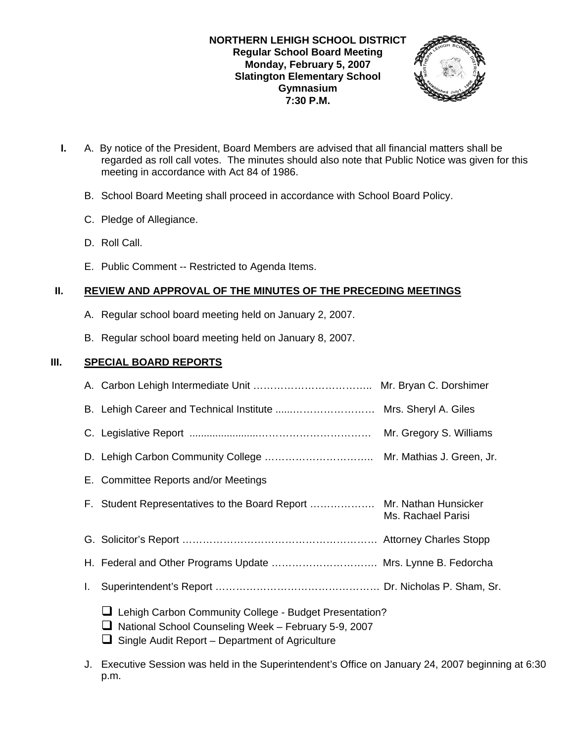

- **I.** A. By notice of the President, Board Members are advised that all financial matters shall be regarded as roll call votes. The minutes should also note that Public Notice was given for this meeting in accordance with Act 84 of 1986.
	- B. School Board Meeting shall proceed in accordance with School Board Policy.
	- C. Pledge of Allegiance.
	- D. Roll Call.
	- E. Public Comment -- Restricted to Agenda Items.

# **II. REVIEW AND APPROVAL OF THE MINUTES OF THE PRECEDING MEETINGS**

- A. Regular school board meeting held on January 2, 2007.
- B. Regular school board meeting held on January 8, 2007.

# **III. SPECIAL BOARD REPORTS**

|    |                                                                                                                                                                   | Mr. Gregory S. Williams |
|----|-------------------------------------------------------------------------------------------------------------------------------------------------------------------|-------------------------|
|    |                                                                                                                                                                   |                         |
|    | E. Committee Reports and/or Meetings                                                                                                                              |                         |
|    | F. Student Representatives to the Board Report  Mr. Nathan Hunsicker                                                                                              | Ms. Rachael Parisi      |
|    |                                                                                                                                                                   |                         |
|    | H. Federal and Other Programs Update  Mrs. Lynne B. Fedorcha                                                                                                      |                         |
| I. |                                                                                                                                                                   |                         |
|    | Lehigh Carbon Community College - Budget Presentation?<br>National School Counseling Week - February 5-9, 2007<br>Single Audit Report – Department of Agriculture |                         |

J. Executive Session was held in the Superintendent's Office on January 24, 2007 beginning at 6:30 p.m.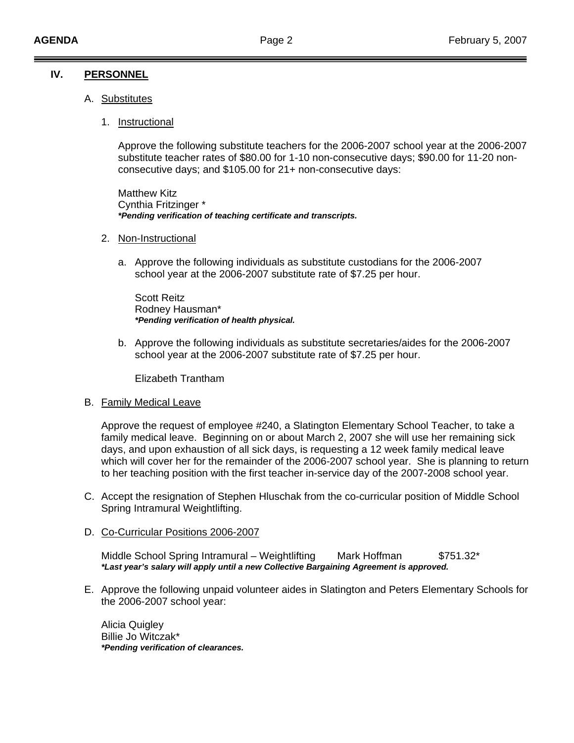## **IV. PERSONNEL**

- A. Substitutes
	- 1. Instructional

Approve the following substitute teachers for the 2006-2007 school year at the 2006-2007 substitute teacher rates of \$80.00 for 1-10 non-consecutive days; \$90.00 for 11-20 nonconsecutive days; and \$105.00 for 21+ non-consecutive days:

 Matthew Kitz Cynthia Fritzinger \*  *\*Pending verification of teaching certificate and transcripts.* 

- 2. Non-Instructional
	- a. Approve the following individuals as substitute custodians for the 2006-2007 school year at the 2006-2007 substitute rate of \$7.25 per hour.

 Scott Reitz Rodney Hausman\*  *\*Pending verification of health physical.* 

b. Approve the following individuals as substitute secretaries/aides for the 2006-2007 school year at the 2006-2007 substitute rate of \$7.25 per hour.

Elizabeth Trantham

#### B. Family Medical Leave

 Approve the request of employee #240, a Slatington Elementary School Teacher, to take a family medical leave. Beginning on or about March 2, 2007 she will use her remaining sick days, and upon exhaustion of all sick days, is requesting a 12 week family medical leave which will cover her for the remainder of the 2006-2007 school year. She is planning to return to her teaching position with the first teacher in-service day of the 2007-2008 school year.

- C. Accept the resignation of Stephen Hluschak from the co-curricular position of Middle School Spring Intramural Weightlifting.
- D. Co-Curricular Positions 2006-2007

Middle School Spring Intramural – Weightlifting Mark Hoffman \$751.32\* *\*Last year's salary will apply until a new Collective Bargaining Agreement is approved.* 

E. Approve the following unpaid volunteer aides in Slatington and Peters Elementary Schools for the 2006-2007 school year:

Alicia Quigley Billie Jo Witczak\* *\*Pending verification of clearances.*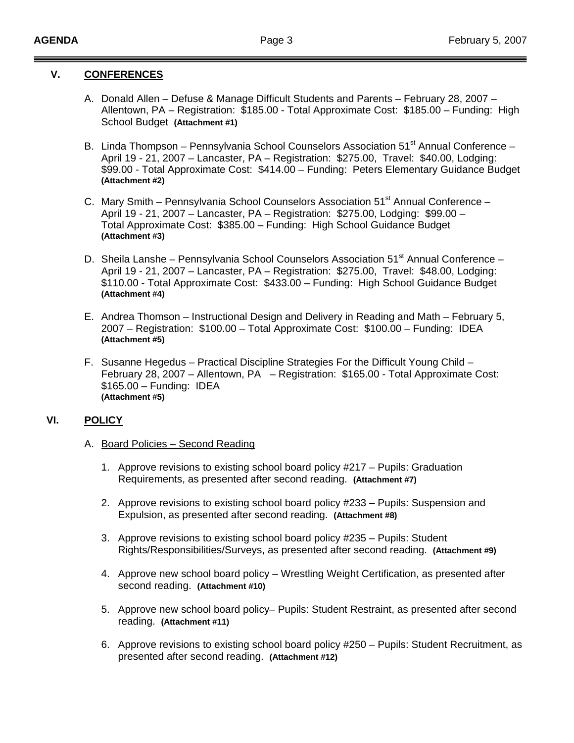## **V. CONFERENCES**

- A. Donald Allen Defuse & Manage Difficult Students and Parents February 28, 2007 Allentown, PA – Registration: \$185.00 - Total Approximate Cost: \$185.00 – Funding: High School Budget **(Attachment #1)**
- B. Linda Thompson Pennsylvania School Counselors Association 51<sup>st</sup> Annual Conference - April 19 - 21, 2007 – Lancaster, PA – Registration: \$275.00, Travel: \$40.00, Lodging: \$99.00 - Total Approximate Cost: \$414.00 – Funding: Peters Elementary Guidance Budget **(Attachment #2)**
- C. Mary Smith Pennsylvania School Counselors Association  $51<sup>st</sup>$  Annual Conference April 19 - 21, 2007 – Lancaster, PA – Registration: \$275.00, Lodging: \$99.00 – Total Approximate Cost: \$385.00 – Funding: High School Guidance Budget **(Attachment #3)**
- D. Sheila Lanshe Pennsylvania School Counselors Association 51<sup>st</sup> Annual Conference April 19 - 21, 2007 – Lancaster, PA – Registration: \$275.00, Travel: \$48.00, Lodging: \$110.00 - Total Approximate Cost: \$433.00 – Funding: High School Guidance Budget **(Attachment #4)**
- E. Andrea Thomson Instructional Design and Delivery in Reading and Math February 5, 2007 – Registration: \$100.00 – Total Approximate Cost: \$100.00 – Funding: IDEA  **(Attachment #5)**
- F. Susanne Hegedus Practical Discipline Strategies For the Difficult Young Child February 28, 2007 – Allentown, PA – Registration: \$165.00 - Total Approximate Cost: \$165.00 – Funding: IDEA **(Attachment #5)**

## **VI. POLICY**

- A. Board Policies Second Reading
	- 1. Approve revisions to existing school board policy #217 Pupils: Graduation Requirements, as presented after second reading. **(Attachment #7)**
	- 2. Approve revisions to existing school board policy #233 Pupils: Suspension and Expulsion, as presented after second reading. **(Attachment #8)**
	- 3. Approve revisions to existing school board policy #235 Pupils: Student Rights/Responsibilities/Surveys, as presented after second reading. **(Attachment #9)**
	- 4. Approve new school board policy Wrestling Weight Certification, as presented after second reading. **(Attachment #10)**
	- 5. Approve new school board policy– Pupils: Student Restraint, as presented after second reading. **(Attachment #11)**
	- 6. Approve revisions to existing school board policy #250 Pupils: Student Recruitment, as presented after second reading. **(Attachment #12)**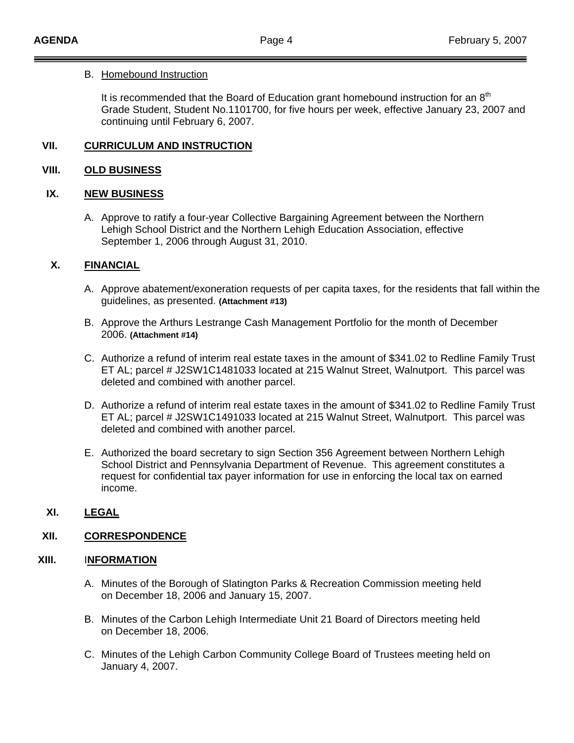#### B. Homebound Instruction

It is recommended that the Board of Education grant homebound instruction for an  $8<sup>th</sup>$ Grade Student, Student No.1101700, for five hours per week, effective January 23, 2007 and continuing until February 6, 2007.

## **VII. CURRICULUM AND INSTRUCTION**

### **VIII. OLD BUSINESS**

#### **IX. NEW BUSINESS**

A. Approve to ratify a four-year Collective Bargaining Agreement between the Northern Lehigh School District and the Northern Lehigh Education Association, effective September 1, 2006 through August 31, 2010.

## **X. FINANCIAL**

- A. Approve abatement/exoneration requests of per capita taxes, for the residents that fall within the guidelines, as presented. **(Attachment #13)**
- B. Approve the Arthurs Lestrange Cash Management Portfolio for the month of December 2006. **(Attachment #14)**
- C. Authorize a refund of interim real estate taxes in the amount of \$341.02 to Redline Family Trust ET AL; parcel # J2SW1C1481033 located at 215 Walnut Street, Walnutport. This parcel was deleted and combined with another parcel.
- D. Authorize a refund of interim real estate taxes in the amount of \$341.02 to Redline Family Trust ET AL; parcel # J2SW1C1491033 located at 215 Walnut Street, Walnutport. This parcel was deleted and combined with another parcel.
- E. Authorized the board secretary to sign Section 356 Agreement between Northern Lehigh School District and Pennsylvania Department of Revenue. This agreement constitutes a request for confidential tax payer information for use in enforcing the local tax on earned income.

# **XI. LEGAL**

#### **XII. CORRESPONDENCE**

#### **XIII.** I**NFORMATION**

- A. Minutes of the Borough of Slatington Parks & Recreation Commission meeting held on December 18, 2006 and January 15, 2007.
- B. Minutes of the Carbon Lehigh Intermediate Unit 21 Board of Directors meeting held on December 18, 2006.
- C. Minutes of the Lehigh Carbon Community College Board of Trustees meeting held on January 4, 2007.